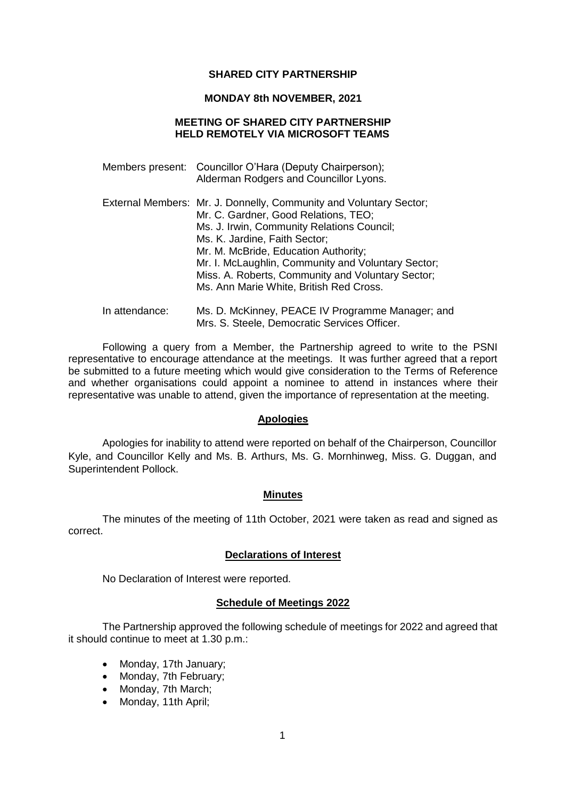### **SHARED CITY PARTNERSHIP**

### **MONDAY 8th NOVEMBER, 2021**

# **MEETING OF SHARED CITY PARTNERSHIP HELD REMOTELY VIA MICROSOFT TEAMS**

|                | Members present: Councillor O'Hara (Deputy Chairperson);<br>Alderman Rodgers and Councillor Lyons.                                                                                                                                                                                                                                                                                      |
|----------------|-----------------------------------------------------------------------------------------------------------------------------------------------------------------------------------------------------------------------------------------------------------------------------------------------------------------------------------------------------------------------------------------|
|                | External Members: Mr. J. Donnelly, Community and Voluntary Sector;<br>Mr. C. Gardner, Good Relations, TEO;<br>Ms. J. Irwin, Community Relations Council;<br>Ms. K. Jardine, Faith Sector;<br>Mr. M. McBride, Education Authority;<br>Mr. I. McLaughlin, Community and Voluntary Sector;<br>Miss. A. Roberts, Community and Voluntary Sector;<br>Ms. Ann Marie White, British Red Cross. |
| In attendance: | Ms. D. McKinney, PEACE IV Programme Manager; and                                                                                                                                                                                                                                                                                                                                        |

Mrs. S. Steele, Democratic Services Officer. Following a query from a Member, the Partnership agreed to write to the PSNI representative to encourage attendance at the meetings. It was further agreed that a report be submitted to a future meeting which would give consideration to the Terms of Reference

and whether organisations could appoint a nominee to attend in instances where their representative was unable to attend, given the importance of representation at the meeting.

# **Apologies**

Apologies for inability to attend were reported on behalf of the Chairperson, Councillor Kyle, and Councillor Kelly and Ms. B. Arthurs, Ms. G. Mornhinweg, Miss. G. Duggan, and Superintendent Pollock.

### **Minutes**

The minutes of the meeting of 11th October, 2021 were taken as read and signed as correct.

## **Declarations of Interest**

No Declaration of Interest were reported.

# **Schedule of Meetings 2022**

The Partnership approved the following schedule of meetings for 2022 and agreed that it should continue to meet at 1.30 p.m.:

- Monday, 17th January;
- Monday, 7th February;
- Monday, 7th March;
- Monday, 11th April;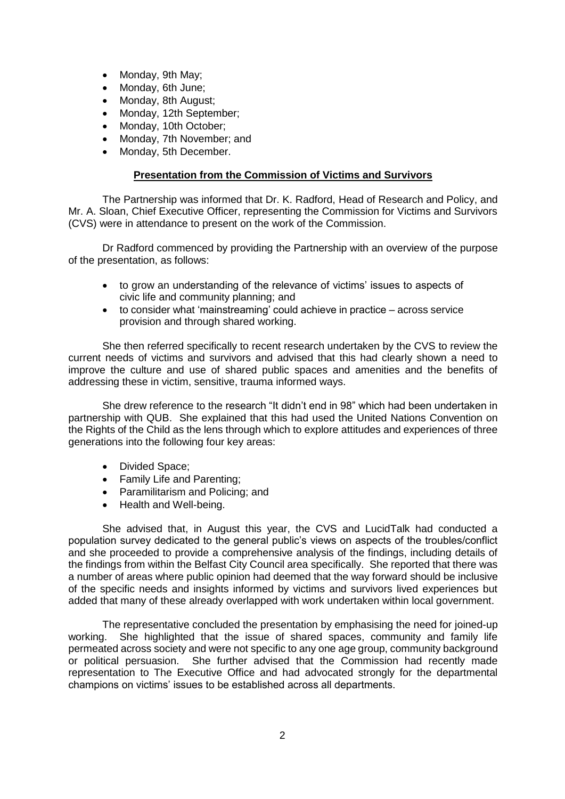- Monday, 9th May;
- Monday, 6th June;
- Monday, 8th August:
- Monday, 12th September:
- Monday, 10th October;
- Monday, 7th November; and
- Monday, 5th December.

# **Presentation from the Commission of Victims and Survivors**

The Partnership was informed that Dr. K. Radford, Head of Research and Policy, and Mr. A. Sloan, Chief Executive Officer, representing the Commission for Victims and Survivors (CVS) were in attendance to present on the work of the Commission.

Dr Radford commenced by providing the Partnership with an overview of the purpose of the presentation, as follows:

- to grow an understanding of the relevance of victims' issues to aspects of civic life and community planning; and
- to consider what 'mainstreaming' could achieve in practice across service provision and through shared working.

She then referred specifically to recent research undertaken by the CVS to review the current needs of victims and survivors and advised that this had clearly shown a need to improve the culture and use of shared public spaces and amenities and the benefits of addressing these in victim, sensitive, trauma informed ways.

She drew reference to the research "It didn't end in 98" which had been undertaken in partnership with QUB. She explained that this had used the United Nations Convention on the Rights of the Child as the lens through which to explore attitudes and experiences of three generations into the following four key areas:

- Divided Space;
- Family Life and Parenting;
- Paramilitarism and Policing; and
- Health and Well-being.

She advised that, in August this year, the CVS and LucidTalk had conducted a population survey dedicated to the general public's views on aspects of the troubles/conflict and she proceeded to provide a comprehensive analysis of the findings, including details of the findings from within the Belfast City Council area specifically. She reported that there was a number of areas where public opinion had deemed that the way forward should be inclusive of the specific needs and insights informed by victims and survivors lived experiences but added that many of these already overlapped with work undertaken within local government.

The representative concluded the presentation by emphasising the need for joined-up working. She highlighted that the issue of shared spaces, community and family life permeated across society and were not specific to any one age group, community background or political persuasion. She further advised that the Commission had recently made representation to The Executive Office and had advocated strongly for the departmental champions on victims' issues to be established across all departments.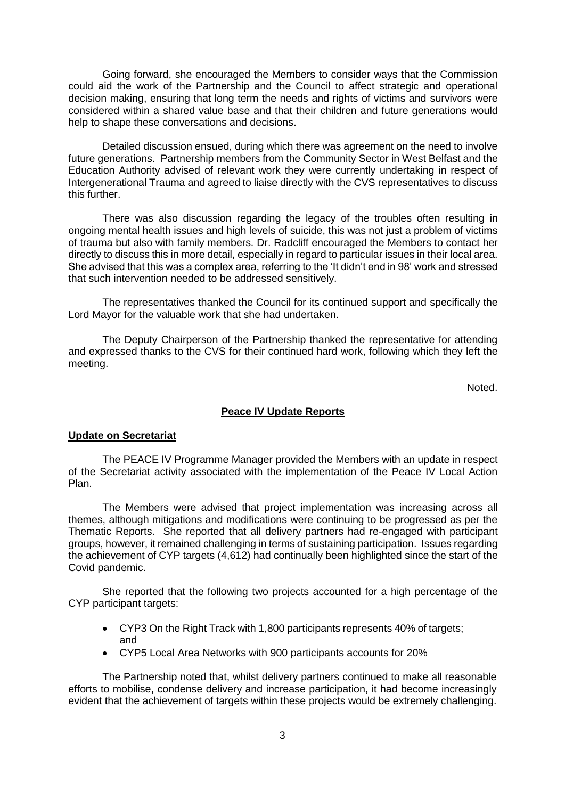Going forward, she encouraged the Members to consider ways that the Commission could aid the work of the Partnership and the Council to affect strategic and operational decision making, ensuring that long term the needs and rights of victims and survivors were considered within a shared value base and that their children and future generations would help to shape these conversations and decisions.

Detailed discussion ensued, during which there was agreement on the need to involve future generations. Partnership members from the Community Sector in West Belfast and the Education Authority advised of relevant work they were currently undertaking in respect of Intergenerational Trauma and agreed to liaise directly with the CVS representatives to discuss this further.

There was also discussion regarding the legacy of the troubles often resulting in ongoing mental health issues and high levels of suicide, this was not just a problem of victims of trauma but also with family members. Dr. Radcliff encouraged the Members to contact her directly to discuss this in more detail, especially in regard to particular issues in their local area. She advised that this was a complex area, referring to the 'It didn't end in 98' work and stressed that such intervention needed to be addressed sensitively.

The representatives thanked the Council for its continued support and specifically the Lord Mayor for the valuable work that she had undertaken.

The Deputy Chairperson of the Partnership thanked the representative for attending and expressed thanks to the CVS for their continued hard work, following which they left the meeting.

Noted.

### **Peace IV Update Reports**

#### **Update on Secretariat**

The PEACE IV Programme Manager provided the Members with an update in respect of the Secretariat activity associated with the implementation of the Peace IV Local Action Plan.

The Members were advised that project implementation was increasing across all themes, although mitigations and modifications were continuing to be progressed as per the Thematic Reports. She reported that all delivery partners had re-engaged with participant groups, however, it remained challenging in terms of sustaining participation. Issues regarding the achievement of CYP targets (4,612) had continually been highlighted since the start of the Covid pandemic.

She reported that the following two projects accounted for a high percentage of the CYP participant targets:

- CYP3 On the Right Track with 1,800 participants represents 40% of targets: and
- CYP5 Local Area Networks with 900 participants accounts for 20%

The Partnership noted that, whilst delivery partners continued to make all reasonable efforts to mobilise, condense delivery and increase participation, it had become increasingly evident that the achievement of targets within these projects would be extremely challenging.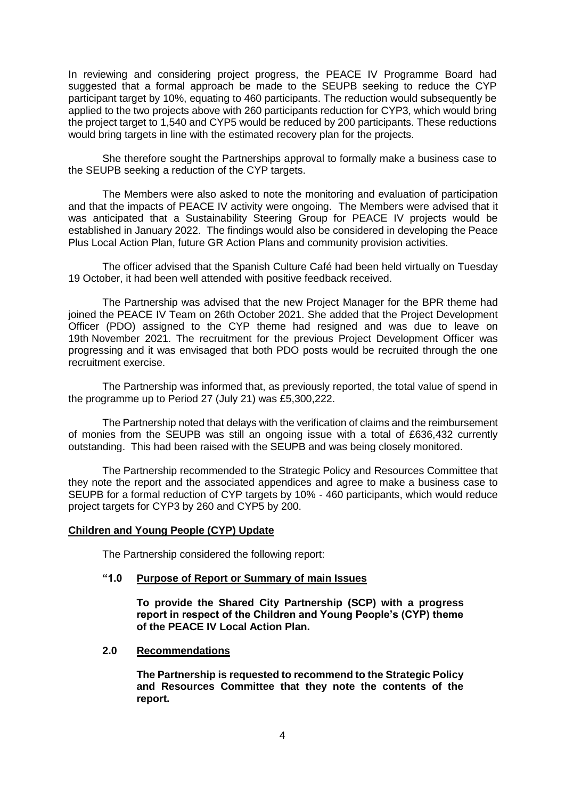In reviewing and considering project progress, the PEACE IV Programme Board had suggested that a formal approach be made to the SEUPB seeking to reduce the CYP participant target by 10%, equating to 460 participants. The reduction would subsequently be applied to the two projects above with 260 participants reduction for CYP3, which would bring the project target to 1,540 and CYP5 would be reduced by 200 participants. These reductions would bring targets in line with the estimated recovery plan for the projects.

She therefore sought the Partnerships approval to formally make a business case to the SEUPB seeking a reduction of the CYP targets.

The Members were also asked to note the monitoring and evaluation of participation and that the impacts of PEACE IV activity were ongoing. The Members were advised that it was anticipated that a Sustainability Steering Group for PEACE IV projects would be established in January 2022. The findings would also be considered in developing the Peace Plus Local Action Plan, future GR Action Plans and community provision activities.

The officer advised that the Spanish Culture Café had been held virtually on Tuesday 19 October, it had been well attended with positive feedback received.

The Partnership was advised that the new Project Manager for the BPR theme had joined the PEACE IV Team on 26th October 2021. She added that the Project Development Officer (PDO) assigned to the CYP theme had resigned and was due to leave on 19th November 2021. The recruitment for the previous Project Development Officer was progressing and it was envisaged that both PDO posts would be recruited through the one recruitment exercise.

The Partnership was informed that, as previously reported, the total value of spend in the programme up to Period 27 (July 21) was £5,300,222.

The Partnership noted that delays with the verification of claims and the reimbursement of monies from the SEUPB was still an ongoing issue with a total of £636,432 currently outstanding. This had been raised with the SEUPB and was being closely monitored.

The Partnership recommended to the Strategic Policy and Resources Committee that they note the report and the associated appendices and agree to make a business case to SEUPB for a formal reduction of CYP targets by 10% - 460 participants, which would reduce project targets for CYP3 by 260 and CYP5 by 200.

### **Children and Young People (CYP) Update**

The Partnership considered the following report:

### **"1.0 Purpose of Report or Summary of main Issues**

**To provide the Shared City Partnership (SCP) with a progress report in respect of the Children and Young People's (CYP) theme of the PEACE IV Local Action Plan.**

#### **2.0 Recommendations**

**The Partnership is requested to recommend to the Strategic Policy and Resources Committee that they note the contents of the report.**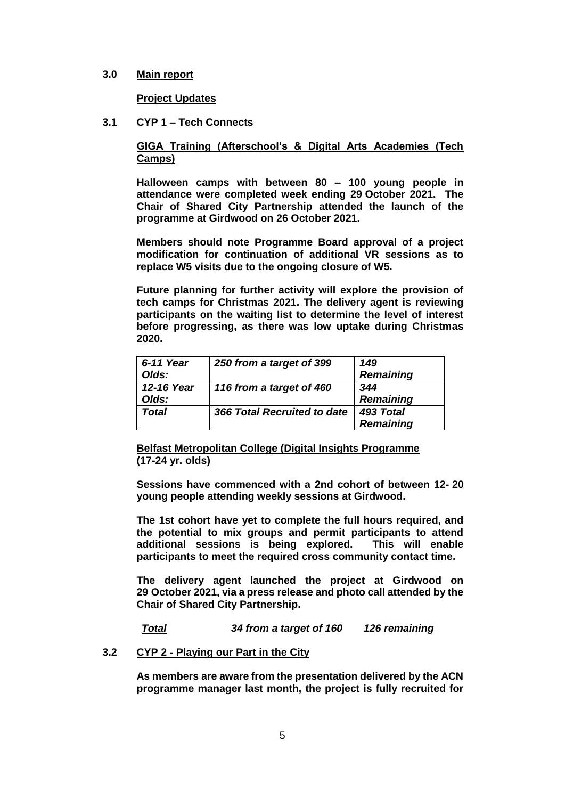## **3.0 Main report**

**Project Updates**

**3.1 CYP 1 – Tech Connects**

# **GIGA Training (Afterschool's & Digital Arts Academies (Tech Camps)**

**Halloween camps with between 80 – 100 young people in attendance were completed week ending 29 October 2021. The Chair of Shared City Partnership attended the launch of the programme at Girdwood on 26 October 2021.** 

**Members should note Programme Board approval of a project modification for continuation of additional VR sessions as to replace W5 visits due to the ongoing closure of W5.** 

**Future planning for further activity will explore the provision of tech camps for Christmas 2021. The delivery agent is reviewing participants on the waiting list to determine the level of interest before progressing, as there was low uptake during Christmas 2020.** 

| 6-11 Year<br>Olds:  | 250 from a target of 399    | 149<br><b>Remaining</b>       |
|---------------------|-----------------------------|-------------------------------|
| 12-16 Year<br>Olds: | 116 from a target of 460    | 344<br><b>Remaining</b>       |
| Total               | 366 Total Recruited to date | 493 Total<br><b>Remaining</b> |

**Belfast Metropolitan College (Digital Insights Programme (17-24 yr. olds)**

**Sessions have commenced with a 2nd cohort of between 12- 20 young people attending weekly sessions at Girdwood.** 

**The 1st cohort have yet to complete the full hours required, and the potential to mix groups and permit participants to attend additional sessions is being explored. This will enable participants to meet the required cross community contact time.** 

**The delivery agent launched the project at Girdwood on 29 October 2021, via a press release and photo call attended by the Chair of Shared City Partnership.** 

*Total 34 from a target of 160 126 remaining* 

# **3.2 CYP 2 - Playing our Part in the City**

**As members are aware from the presentation delivered by the ACN programme manager last month, the project is fully recruited for**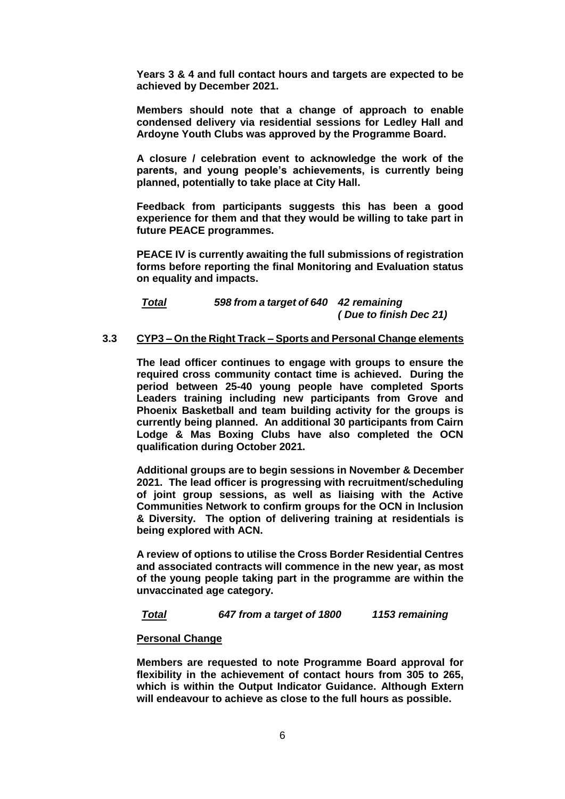**Years 3 & 4 and full contact hours and targets are expected to be achieved by December 2021.** 

**Members should note that a change of approach to enable condensed delivery via residential sessions for Ledley Hall and Ardoyne Youth Clubs was approved by the Programme Board.**

**A closure / celebration event to acknowledge the work of the parents, and young people's achievements, is currently being planned, potentially to take place at City Hall.** 

**Feedback from participants suggests this has been a good experience for them and that they would be willing to take part in future PEACE programmes.** 

**PEACE IV is currently awaiting the full submissions of registration forms before reporting the final Monitoring and Evaluation status on equality and impacts.** 

# *Total 598 from a target of 640 42 remaining ( Due to finish Dec 21)*

## **3.3 CYP3 – On the Right Track – Sports and Personal Change elements**

**The lead officer continues to engage with groups to ensure the required cross community contact time is achieved. During the period between 25-40 young people have completed Sports Leaders training including new participants from Grove and Phoenix Basketball and team building activity for the groups is currently being planned. An additional 30 participants from Cairn Lodge & Mas Boxing Clubs have also completed the OCN qualification during October 2021.** 

**Additional groups are to begin sessions in November & December 2021. The lead officer is progressing with recruitment/scheduling of joint group sessions, as well as liaising with the Active Communities Network to confirm groups for the OCN in Inclusion & Diversity. The option of delivering training at residentials is being explored with ACN.** 

**A review of options to utilise the Cross Border Residential Centres and associated contracts will commence in the new year, as most of the young people taking part in the programme are within the unvaccinated age category.** 

### *Total 647 from a target of 1800 1153 remaining*

### **Personal Change**

**Members are requested to note Programme Board approval for flexibility in the achievement of contact hours from 305 to 265, which is within the Output Indicator Guidance. Although Extern will endeavour to achieve as close to the full hours as possible.**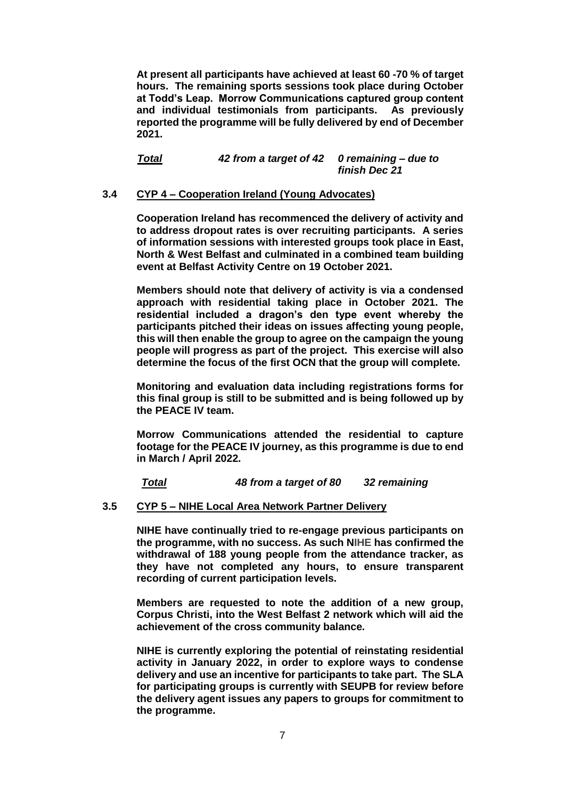**At present all participants have achieved at least 60 -70 % of target hours. The remaining sports sessions took place during October at Todd's Leap. Morrow Communications captured group content and individual testimonials from participants. As previously reported the programme will be fully delivered by end of December 2021.** 

*Total 42 from a target of 42 0 remaining – due to finish Dec 21* 

### **3.4 CYP 4 – Cooperation Ireland (Young Advocates)**

**Cooperation Ireland has recommenced the delivery of activity and to address dropout rates is over recruiting participants. A series of information sessions with interested groups took place in East, North & West Belfast and culminated in a combined team building event at Belfast Activity Centre on 19 October 2021.** 

**Members should note that delivery of activity is via a condensed approach with residential taking place in October 2021. The residential included a dragon's den type event whereby the participants pitched their ideas on issues affecting young people, this will then enable the group to agree on the campaign the young people will progress as part of the project. This exercise will also determine the focus of the first OCN that the group will complete.** 

**Monitoring and evaluation data including registrations forms for this final group is still to be submitted and is being followed up by the PEACE IV team.** 

**Morrow Communications attended the residential to capture footage for the PEACE IV journey, as this programme is due to end in March / April 2022.** 

*Total 48 from a target of 80 32 remaining* 

### **3.5 CYP 5 – NIHE Local Area Network Partner Delivery**

**NIHE have continually tried to re-engage previous participants on the programme, with no success. As such NIHE has confirmed the withdrawal of 188 young people from the attendance tracker, as they have not completed any hours, to ensure transparent recording of current participation levels.** 

**Members are requested to note the addition of a new group, Corpus Christi, into the West Belfast 2 network which will aid the achievement of the cross community balance***.*

**NIHE is currently exploring the potential of reinstating residential activity in January 2022, in order to explore ways to condense delivery and use an incentive for participants to take part. The SLA for participating groups is currently with SEUPB for review before the delivery agent issues any papers to groups for commitment to the programme.**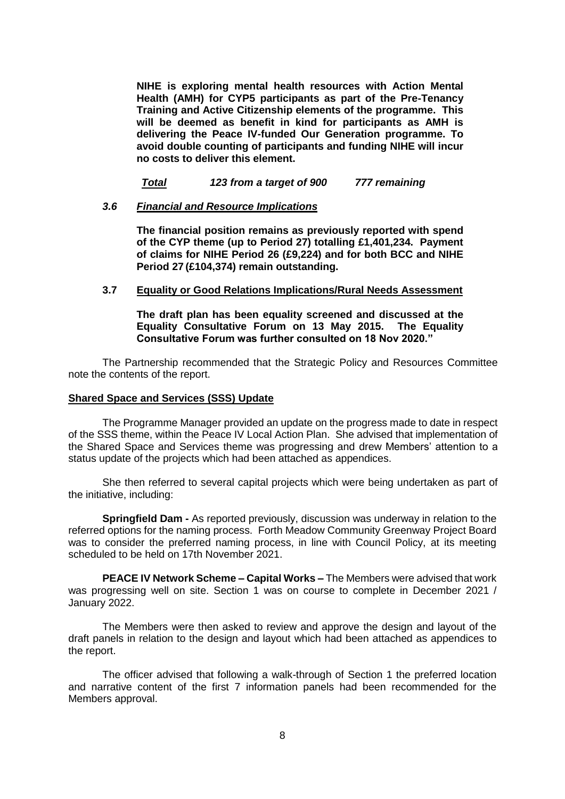**NIHE is exploring mental health resources with Action Mental Health (AMH) for CYP5 participants as part of the Pre-Tenancy Training and Active Citizenship elements of the programme. This will be deemed as benefit in kind for participants as AMH is delivering the Peace IV-funded Our Generation programme. To avoid double counting of participants and funding NIHE will incur no costs to deliver this element.** 

*Total 123 from a target of 900 777 remaining*

### *3.6 Financial and Resource Implications*

**The financial position remains as previously reported with spend of the CYP theme (up to Period 27) totalling £1,401,234. Payment of claims for NIHE Period 26 (£9,224) and for both BCC and NIHE Period 27 (£104,374) remain outstanding.** 

#### **3.7 Equality or Good Relations Implications/Rural Needs Assessment**

**The draft plan has been equality screened and discussed at the Equality Consultative Forum on 13 May 2015. The Equality Consultative Forum was further consulted on 18 Nov 2020."**

The Partnership recommended that the Strategic Policy and Resources Committee note the contents of the report.

#### **Shared Space and Services (SSS) Update**

The Programme Manager provided an update on the progress made to date in respect of the SSS theme, within the Peace IV Local Action Plan. She advised that implementation of the Shared Space and Services theme was progressing and drew Members' attention to a status update of the projects which had been attached as appendices.

She then referred to several capital projects which were being undertaken as part of the initiative, including:

**Springfield Dam -** As reported previously, discussion was underway in relation to the referred options for the naming process. Forth Meadow Community Greenway Project Board was to consider the preferred naming process, in line with Council Policy, at its meeting scheduled to be held on 17th November 2021.

**PEACE IV Network Scheme – Capital Works –** The Members were advised that work was progressing well on site. Section 1 was on course to complete in December 2021 / January 2022.

The Members were then asked to review and approve the design and layout of the draft panels in relation to the design and layout which had been attached as appendices to the report.

The officer advised that following a walk-through of Section 1 the preferred location and narrative content of the first 7 information panels had been recommended for the Members approval.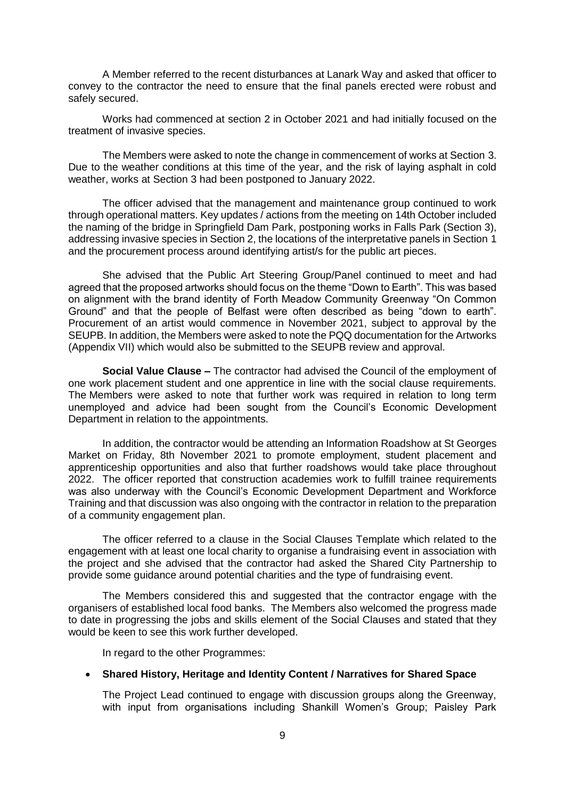A Member referred to the recent disturbances at Lanark Way and asked that officer to convey to the contractor the need to ensure that the final panels erected were robust and safely secured.

Works had commenced at section 2 in October 2021 and had initially focused on the treatment of invasive species.

The Members were asked to note the change in commencement of works at Section 3. Due to the weather conditions at this time of the year, and the risk of laying asphalt in cold weather, works at Section 3 had been postponed to January 2022.

The officer advised that the management and maintenance group continued to work through operational matters. Key updates / actions from the meeting on 14th October included the naming of the bridge in Springfield Dam Park, postponing works in Falls Park (Section 3), addressing invasive species in Section 2, the locations of the interpretative panels in Section 1 and the procurement process around identifying artist/s for the public art pieces.

She advised that the Public Art Steering Group/Panel continued to meet and had agreed that the proposed artworks should focus on the theme "Down to Earth". This was based on alignment with the brand identity of Forth Meadow Community Greenway "On Common Ground" and that the people of Belfast were often described as being "down to earth". Procurement of an artist would commence in November 2021, subject to approval by the SEUPB. In addition, the Members were asked to note the PQQ documentation for the Artworks (Appendix VII) which would also be submitted to the SEUPB review and approval.

**Social Value Clause –** The contractor had advised the Council of the employment of one work placement student and one apprentice in line with the social clause requirements. The Members were asked to note that further work was required in relation to long term unemployed and advice had been sought from the Council's Economic Development Department in relation to the appointments.

In addition, the contractor would be attending an Information Roadshow at St Georges Market on Friday, 8th November 2021 to promote employment, student placement and apprenticeship opportunities and also that further roadshows would take place throughout 2022. The officer reported that construction academies work to fulfill trainee requirements was also underway with the Council's Economic Development Department and Workforce Training and that discussion was also ongoing with the contractor in relation to the preparation of a community engagement plan.

The officer referred to a clause in the Social Clauses Template which related to the engagement with at least one local charity to organise a fundraising event in association with the project and she advised that the contractor had asked the Shared City Partnership to provide some guidance around potential charities and the type of fundraising event.

The Members considered this and suggested that the contractor engage with the organisers of established local food banks. The Members also welcomed the progress made to date in progressing the jobs and skills element of the Social Clauses and stated that they would be keen to see this work further developed.

In regard to the other Programmes:

### **Shared History, Heritage and Identity Content / Narratives for Shared Space**

The Project Lead continued to engage with discussion groups along the Greenway, with input from organisations including Shankill Women's Group; Paisley Park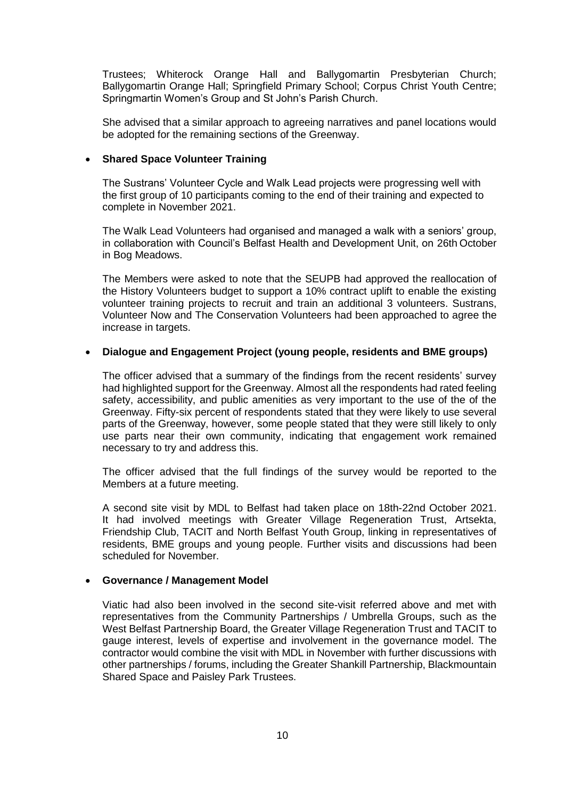Trustees; Whiterock Orange Hall and Ballygomartin Presbyterian Church; Ballygomartin Orange Hall; Springfield Primary School; Corpus Christ Youth Centre; Springmartin Women's Group and St John's Parish Church.

She advised that a similar approach to agreeing narratives and panel locations would be adopted for the remaining sections of the Greenway.

## **Shared Space Volunteer Training**

The Sustrans' Volunteer Cycle and Walk Lead projects were progressing well with the first group of 10 participants coming to the end of their training and expected to complete in November 2021.

The Walk Lead Volunteers had organised and managed a walk with a seniors' group, in collaboration with Council's Belfast Health and Development Unit, on 26th October in Bog Meadows.

The Members were asked to note that the SEUPB had approved the reallocation of the History Volunteers budget to support a 10% contract uplift to enable the existing volunteer training projects to recruit and train an additional 3 volunteers. Sustrans, Volunteer Now and The Conservation Volunteers had been approached to agree the increase in targets.

## **Dialogue and Engagement Project (young people, residents and BME groups)**

The officer advised that a summary of the findings from the recent residents' survey had highlighted support for the Greenway. Almost all the respondents had rated feeling safety, accessibility, and public amenities as very important to the use of the of the Greenway. Fifty-six percent of respondents stated that they were likely to use several parts of the Greenway, however, some people stated that they were still likely to only use parts near their own community, indicating that engagement work remained necessary to try and address this.

The officer advised that the full findings of the survey would be reported to the Members at a future meeting.

A second site visit by MDL to Belfast had taken place on 18th-22nd October 2021. It had involved meetings with Greater Village Regeneration Trust, Artsekta, Friendship Club, TACIT and North Belfast Youth Group, linking in representatives of residents, BME groups and young people. Further visits and discussions had been scheduled for November.

### **Governance / Management Model**

Viatic had also been involved in the second site-visit referred above and met with representatives from the Community Partnerships / Umbrella Groups, such as the West Belfast Partnership Board, the Greater Village Regeneration Trust and TACIT to gauge interest, levels of expertise and involvement in the governance model. The contractor would combine the visit with MDL in November with further discussions with other partnerships / forums, including the Greater Shankill Partnership, Blackmountain Shared Space and Paisley Park Trustees.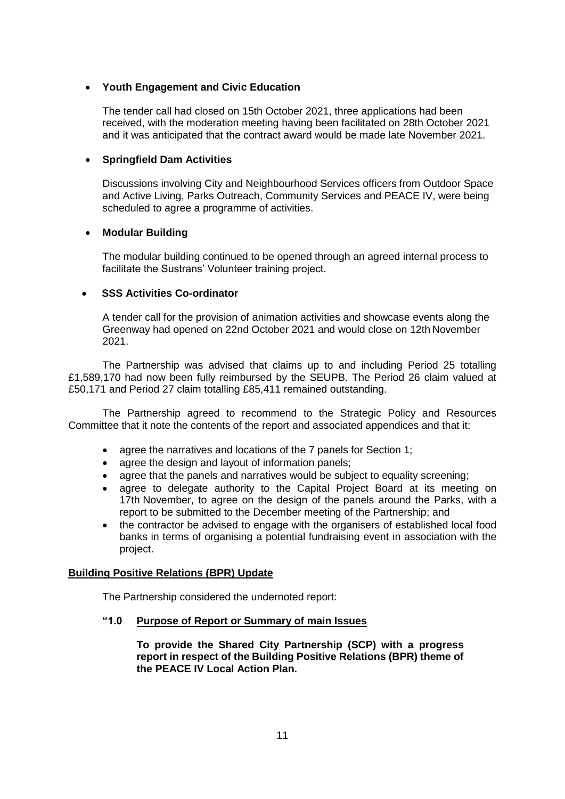# **Youth Engagement and Civic Education**

The tender call had closed on 15th October 2021, three applications had been received, with the moderation meeting having been facilitated on 28th October 2021 and it was anticipated that the contract award would be made late November 2021.

# **Springfield Dam Activities**

Discussions involving City and Neighbourhood Services officers from Outdoor Space and Active Living, Parks Outreach, Community Services and PEACE IV, were being scheduled to agree a programme of activities.

# **Modular Building**

The modular building continued to be opened through an agreed internal process to facilitate the Sustrans' Volunteer training project.

# **SSS Activities Co-ordinator**

A tender call for the provision of animation activities and showcase events along the Greenway had opened on 22nd October 2021 and would close on 12th November 2021.

The Partnership was advised that claims up to and including Period 25 totalling £1,589,170 had now been fully reimbursed by the SEUPB. The Period 26 claim valued at £50,171 and Period 27 claim totalling £85,411 remained outstanding.

The Partnership agreed to recommend to the Strategic Policy and Resources Committee that it note the contents of the report and associated appendices and that it:

- agree the narratives and locations of the 7 panels for Section 1;
- agree the design and layout of information panels:
- agree that the panels and narratives would be subject to equality screening;
- agree to delegate authority to the Capital Project Board at its meeting on 17th November, to agree on the design of the panels around the Parks, with a report to be submitted to the December meeting of the Partnership; and
- the contractor be advised to engage with the organisers of established local food banks in terms of organising a potential fundraising event in association with the project.

# **Building Positive Relations (BPR) Update**

The Partnership considered the undernoted report:

# **"1.0 Purpose of Report or Summary of main Issues**

**To provide the Shared City Partnership (SCP) with a progress report in respect of the Building Positive Relations (BPR) theme of the PEACE IV Local Action Plan.**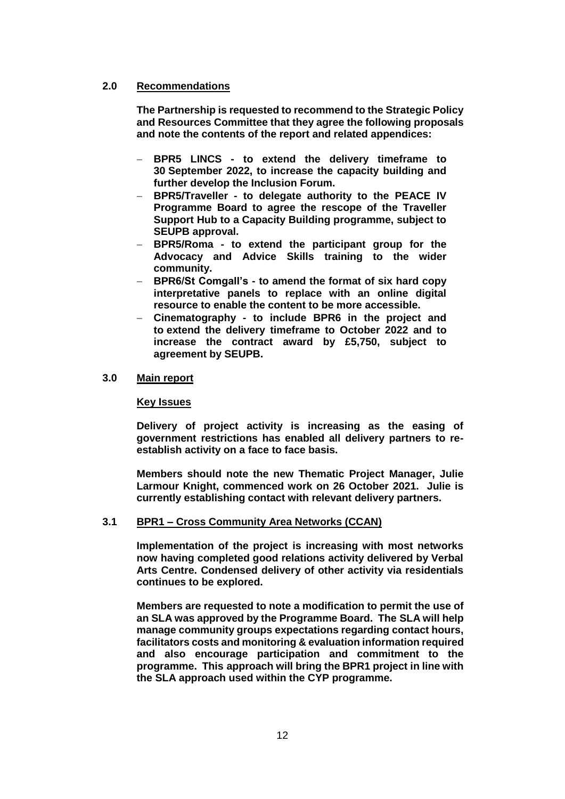# **2.0 Recommendations**

**The Partnership is requested to recommend to the Strategic Policy and Resources Committee that they agree the following proposals and note the contents of the report and related appendices:** 

- **BPR5 LINCS - to extend the delivery timeframe to 30 September 2022, to increase the capacity building and further develop the Inclusion Forum.**
- **BPR5/Traveller - to delegate authority to the PEACE IV Programme Board to agree the rescope of the Traveller Support Hub to a Capacity Building programme, subject to SEUPB approval.**
- **BPR5/Roma - to extend the participant group for the Advocacy and Advice Skills training to the wider community.**
- **BPR6/St Comgall's - to amend the format of six hard copy interpretative panels to replace with an online digital resource to enable the content to be more accessible.**
- **Cinematography - to include BPR6 in the project and to extend the delivery timeframe to October 2022 and to increase the contract award by £5,750, subject to agreement by SEUPB.**

## **3.0 Main report**

### **Key Issues**

**Delivery of project activity is increasing as the easing of government restrictions has enabled all delivery partners to reestablish activity on a face to face basis.**

**Members should note the new Thematic Project Manager, Julie Larmour Knight, commenced work on 26 October 2021. Julie is currently establishing contact with relevant delivery partners.** 

### **3.1 BPR1 – Cross Community Area Networks (CCAN)**

**Implementation of the project is increasing with most networks now having completed good relations activity delivered by Verbal Arts Centre. Condensed delivery of other activity via residentials continues to be explored.**

**Members are requested to note a modification to permit the use of an SLA was approved by the Programme Board. The SLA will help manage community groups expectations regarding contact hours, facilitators costs and monitoring & evaluation information required and also encourage participation and commitment to the programme. This approach will bring the BPR1 project in line with the SLA approach used within the CYP programme.**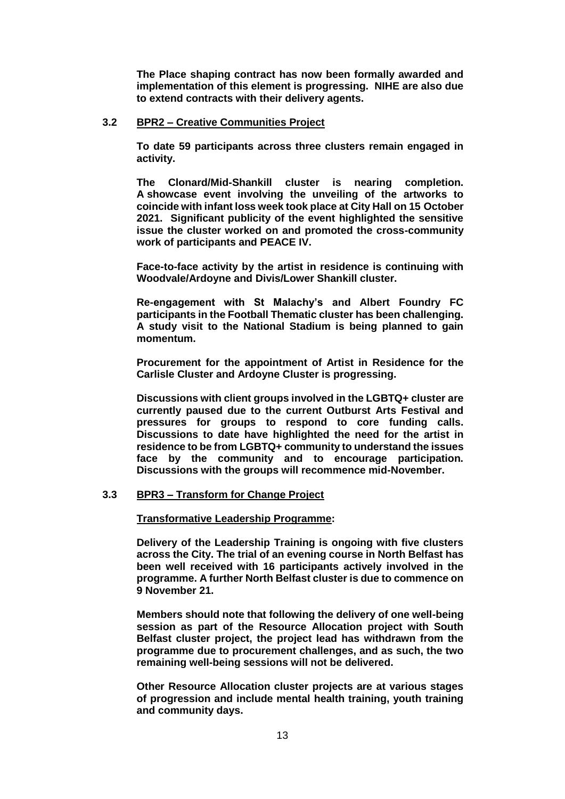**The Place shaping contract has now been formally awarded and implementation of this element is progressing. NIHE are also due to extend contracts with their delivery agents.** 

# **3.2 BPR2 – Creative Communities Project**

**To date 59 participants across three clusters remain engaged in activity.**

**The Clonard/Mid-Shankill cluster is nearing completion. A showcase event involving the unveiling of the artworks to coincide with infant loss week took place at City Hall on 15 October 2021. Significant publicity of the event highlighted the sensitive issue the cluster worked on and promoted the cross-community work of participants and PEACE IV.** 

**Face-to-face activity by the artist in residence is continuing with Woodvale/Ardoyne and Divis/Lower Shankill cluster.** 

**Re-engagement with St Malachy's and Albert Foundry FC participants in the Football Thematic cluster has been challenging. A study visit to the National Stadium is being planned to gain momentum.**

**Procurement for the appointment of Artist in Residence for the Carlisle Cluster and Ardoyne Cluster is progressing.**

**Discussions with client groups involved in the LGBTQ+ cluster are currently paused due to the current Outburst Arts Festival and pressures for groups to respond to core funding calls. Discussions to date have highlighted the need for the artist in residence to be from LGBTQ+ community to understand the issues face by the community and to encourage participation. Discussions with the groups will recommence mid-November.** 

# **3.3 BPR3 – Transform for Change Project**

**Transformative Leadership Programme:**

**Delivery of the Leadership Training is ongoing with five clusters across the City. The trial of an evening course in North Belfast has been well received with 16 participants actively involved in the programme. A further North Belfast cluster is due to commence on 9 November 21.** 

**Members should note that following the delivery of one well-being session as part of the Resource Allocation project with South Belfast cluster project, the project lead has withdrawn from the programme due to procurement challenges, and as such, the two remaining well-being sessions will not be delivered.** 

**Other Resource Allocation cluster projects are at various stages of progression and include mental health training, youth training and community days.**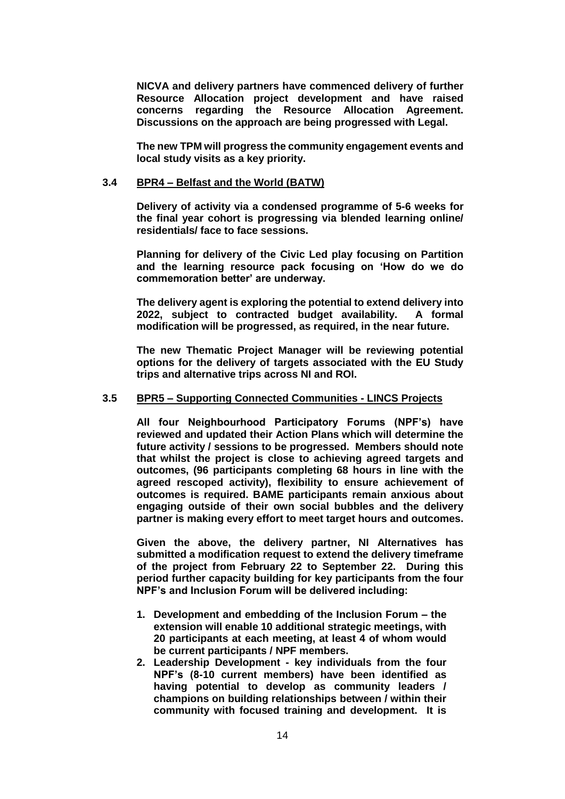**NICVA and delivery partners have commenced delivery of further Resource Allocation project development and have raised concerns regarding the Resource Allocation Agreement. Discussions on the approach are being progressed with Legal.** 

**The new TPM will progress the community engagement events and local study visits as a key priority.**

## **3.4 BPR4 – Belfast and the World (BATW)**

**Delivery of activity via a condensed programme of 5-6 weeks for the final year cohort is progressing via blended learning online/ residentials/ face to face sessions.** 

**Planning for delivery of the Civic Led play focusing on Partition and the learning resource pack focusing on 'How do we do commemoration better' are underway.**

**The delivery agent is exploring the potential to extend delivery into 2022, subject to contracted budget availability. A formal modification will be progressed, as required, in the near future.**

**The new Thematic Project Manager will be reviewing potential options for the delivery of targets associated with the EU Study trips and alternative trips across NI and ROI.**

#### **3.5 BPR5 – Supporting Connected Communities - LINCS Projects**

**All four Neighbourhood Participatory Forums (NPF's) have reviewed and updated their Action Plans which will determine the future activity / sessions to be progressed. Members should note that whilst the project is close to achieving agreed targets and outcomes, (96 participants completing 68 hours in line with the agreed rescoped activity), flexibility to ensure achievement of outcomes is required. BAME participants remain anxious about engaging outside of their own social bubbles and the delivery partner is making every effort to meet target hours and outcomes.**

**Given the above, the delivery partner, NI Alternatives has submitted a modification request to extend the delivery timeframe of the project from February 22 to September 22. During this period further capacity building for key participants from the four NPF's and Inclusion Forum will be delivered including:**

- **1. Development and embedding of the Inclusion Forum – the extension will enable 10 additional strategic meetings, with 20 participants at each meeting, at least 4 of whom would be current participants / NPF members.**
- **2. Leadership Development - key individuals from the four NPF's (8-10 current members) have been identified as having potential to develop as community leaders / champions on building relationships between / within their community with focused training and development. It is**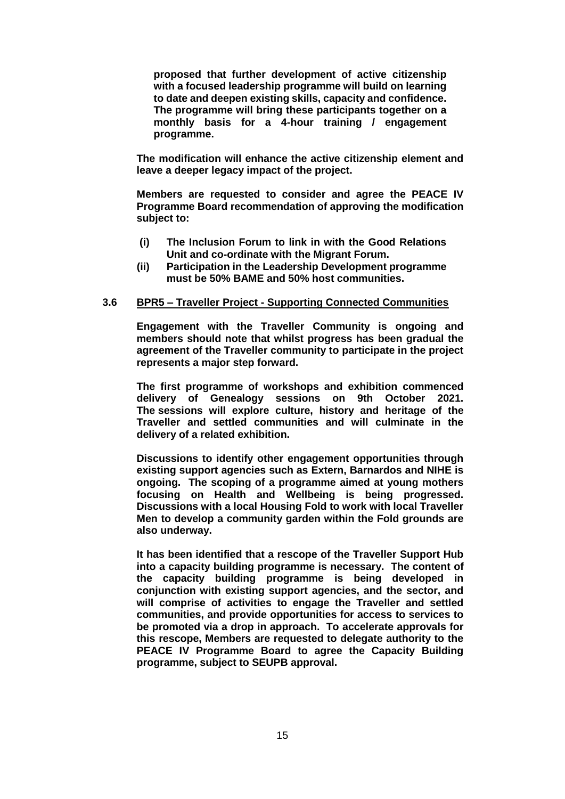**proposed that further development of active citizenship with a focused leadership programme will build on learning to date and deepen existing skills, capacity and confidence. The programme will bring these participants together on a monthly basis for a 4-hour training / engagement programme.**

**The modification will enhance the active citizenship element and leave a deeper legacy impact of the project.**

**Members are requested to consider and agree the PEACE IV Programme Board recommendation of approving the modification subject to:**

- **(i) The Inclusion Forum to link in with the Good Relations Unit and co-ordinate with the Migrant Forum.**
- **(ii) Participation in the Leadership Development programme must be 50% BAME and 50% host communities.**

### **3.6 BPR5 – Traveller Project - Supporting Connected Communities**

**Engagement with the Traveller Community is ongoing and members should note that whilst progress has been gradual the agreement of the Traveller community to participate in the project represents a major step forward.**

**The first programme of workshops and exhibition commenced delivery of Genealogy sessions on 9th October 2021. The sessions will explore culture, history and heritage of the Traveller and settled communities and will culminate in the delivery of a related exhibition.**

**Discussions to identify other engagement opportunities through existing support agencies such as Extern, Barnardos and NIHE is ongoing. The scoping of a programme aimed at young mothers focusing on Health and Wellbeing is being progressed. Discussions with a local Housing Fold to work with local Traveller Men to develop a community garden within the Fold grounds are also underway.** 

**It has been identified that a rescope of the Traveller Support Hub into a capacity building programme is necessary. The content of the capacity building programme is being developed in conjunction with existing support agencies, and the sector, and will comprise of activities to engage the Traveller and settled communities, and provide opportunities for access to services to be promoted via a drop in approach. To accelerate approvals for this rescope, Members are requested to delegate authority to the PEACE IV Programme Board to agree the Capacity Building programme, subject to SEUPB approval.**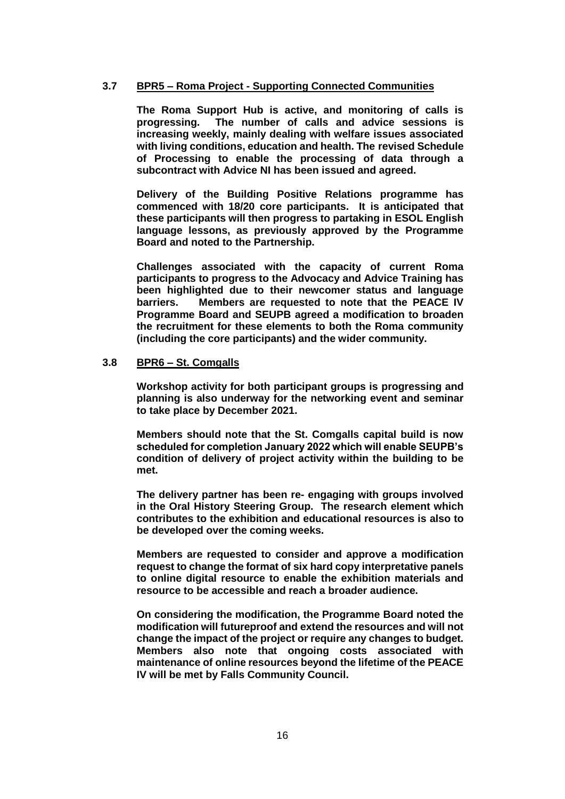# **3.7 BPR5 – Roma Project - Supporting Connected Communities**

**The Roma Support Hub is active, and monitoring of calls is progressing. The number of calls and advice sessions is increasing weekly, mainly dealing with welfare issues associated with living conditions, education and health. The revised Schedule of Processing to enable the processing of data through a subcontract with Advice NI has been issued and agreed.**

**Delivery of the Building Positive Relations programme has commenced with 18/20 core participants. It is anticipated that these participants will then progress to partaking in ESOL English language lessons, as previously approved by the Programme Board and noted to the Partnership.** 

**Challenges associated with the capacity of current Roma participants to progress to the Advocacy and Advice Training has been highlighted due to their newcomer status and language barriers. Members are requested to note that the PEACE IV Programme Board and SEUPB agreed a modification to broaden the recruitment for these elements to both the Roma community (including the core participants) and the wider community.**

### **3.8 BPR6 – St. Comgalls**

**Workshop activity for both participant groups is progressing and planning is also underway for the networking event and seminar to take place by December 2021.** 

**Members should note that the St. Comgalls capital build is now scheduled for completion January 2022 which will enable SEUPB's condition of delivery of project activity within the building to be met.**

**The delivery partner has been re- engaging with groups involved in the Oral History Steering Group. The research element which contributes to the exhibition and educational resources is also to be developed over the coming weeks.** 

**Members are requested to consider and approve a modification request to change the format of six hard copy interpretative panels to online digital resource to enable the exhibition materials and resource to be accessible and reach a broader audience.** 

**On considering the modification, the Programme Board noted the modification will futureproof and extend the resources and will not change the impact of the project or require any changes to budget. Members also note that ongoing costs associated with maintenance of online resources beyond the lifetime of the PEACE IV will be met by Falls Community Council.**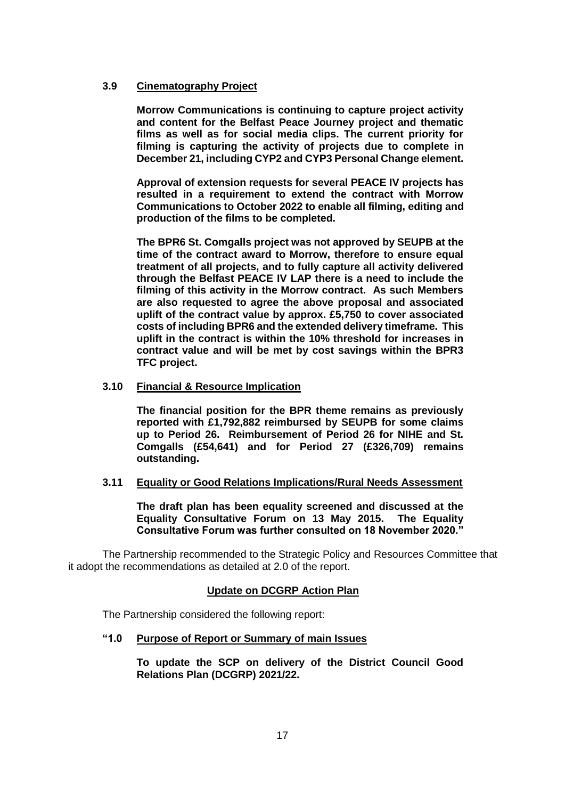# **3.9 Cinematography Project**

**Morrow Communications is continuing to capture project activity and content for the Belfast Peace Journey project and thematic films as well as for social media clips. The current priority for filming is capturing the activity of projects due to complete in December 21, including CYP2 and CYP3 Personal Change element.** 

**Approval of extension requests for several PEACE IV projects has resulted in a requirement to extend the contract with Morrow Communications to October 2022 to enable all filming, editing and production of the films to be completed.** 

**The BPR6 St. Comgalls project was not approved by SEUPB at the time of the contract award to Morrow, therefore to ensure equal treatment of all projects, and to fully capture all activity delivered through the Belfast PEACE IV LAP there is a need to include the filming of this activity in the Morrow contract. As such Members are also requested to agree the above proposal and associated uplift of the contract value by approx. £5,750 to cover associated costs of including BPR6 and the extended delivery timeframe. This uplift in the contract is within the 10% threshold for increases in contract value and will be met by cost savings within the BPR3 TFC project.**

### **3.10 Financial & Resource Implication**

**The financial position for the BPR theme remains as previously reported with £1,792,882 reimbursed by SEUPB for some claims up to Period 26. Reimbursement of Period 26 for NIHE and St. Comgalls (£54,641) and for Period 27 (£326,709) remains outstanding.** 

### **3.11 Equality or Good Relations Implications/Rural Needs Assessment**

**The draft plan has been equality screened and discussed at the Equality Consultative Forum on 13 May 2015. The Equality Consultative Forum was further consulted on 18 November 2020."**

The Partnership recommended to the Strategic Policy and Resources Committee that it adopt the recommendations as detailed at 2.0 of the report.

# **Update on DCGRP Action Plan**

The Partnership considered the following report:

### **"1.0 Purpose of Report or Summary of main Issues**

**To update the SCP on delivery of the District Council Good Relations Plan (DCGRP) 2021/22.**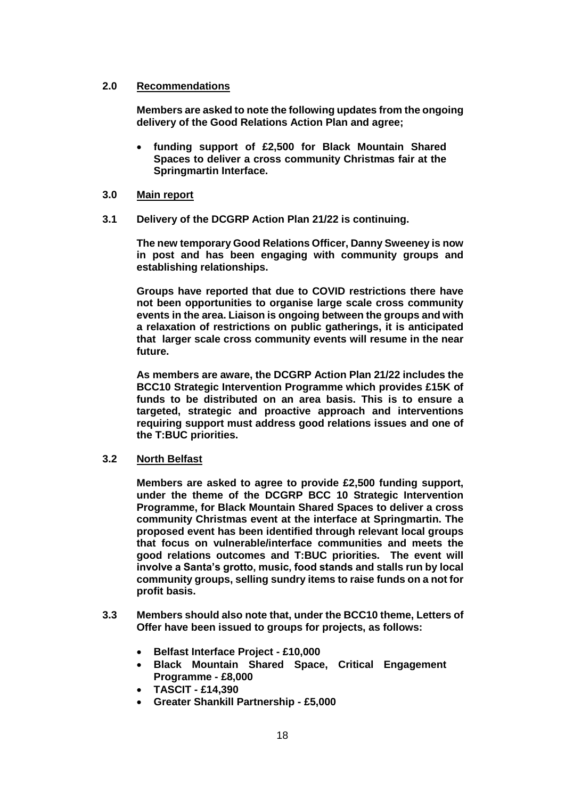# **2.0 Recommendations**

**Members are asked to note the following updates from the ongoing delivery of the Good Relations Action Plan and agree;** 

 **funding support of £2,500 for Black Mountain Shared Spaces to deliver a cross community Christmas fair at the Springmartin Interface.**

## **3.0 Main report**

**3.1 Delivery of the DCGRP Action Plan 21/22 is continuing.** 

**The new temporary Good Relations Officer, Danny Sweeney is now in post and has been engaging with community groups and establishing relationships.** 

**Groups have reported that due to COVID restrictions there have not been opportunities to organise large scale cross community events in the area. Liaison is ongoing between the groups and with a relaxation of restrictions on public gatherings, it is anticipated that larger scale cross community events will resume in the near future.**

**As members are aware, the DCGRP Action Plan 21/22 includes the BCC10 Strategic Intervention Programme which provides £15K of funds to be distributed on an area basis. This is to ensure a targeted, strategic and proactive approach and interventions requiring support must address good relations issues and one of the T:BUC priorities.**

# **3.2 North Belfast**

**Members are asked to agree to provide £2,500 funding support, under the theme of the DCGRP BCC 10 Strategic Intervention Programme, for Black Mountain Shared Spaces to deliver a cross community Christmas event at the interface at Springmartin. The proposed event has been identified through relevant local groups that focus on vulnerable/interface communities and meets the good relations outcomes and T:BUC priorities. The event will involve a Santa's grotto, music, food stands and stalls run by local community groups, selling sundry items to raise funds on a not for profit basis.** 

- **3.3 Members should also note that, under the BCC10 theme, Letters of Offer have been issued to groups for projects, as follows:**
	- **Belfast Interface Project - £10,000**
	- **Black Mountain Shared Space, Critical Engagement Programme - £8,000**
	- **TASCIT - £14,390**
	- **Greater Shankill Partnership - £5,000**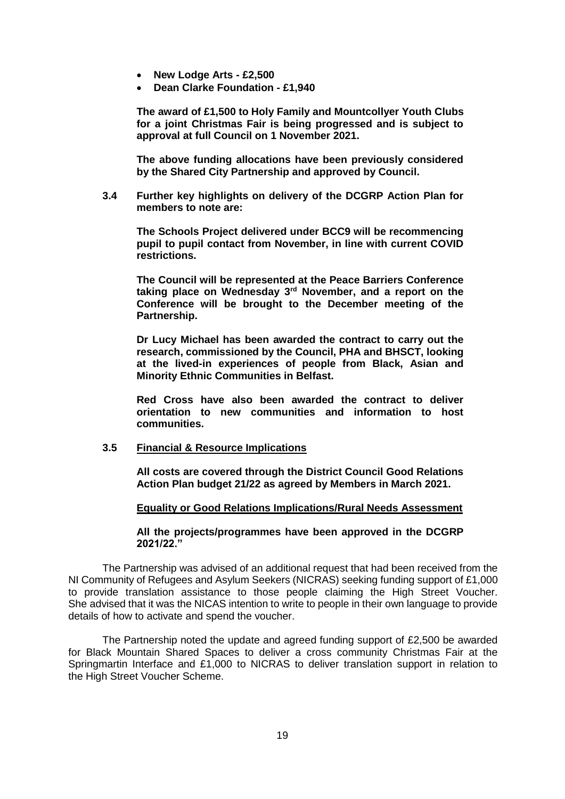- **New Lodge Arts - £2,500**
- **Dean Clarke Foundation - £1,940**

**The award of £1,500 to Holy Family and Mountcollyer Youth Clubs for a joint Christmas Fair is being progressed and is subject to approval at full Council on 1 November 2021.**

**The above funding allocations have been previously considered by the Shared City Partnership and approved by Council.**

**3.4 Further key highlights on delivery of the DCGRP Action Plan for members to note are:**

**The Schools Project delivered under BCC9 will be recommencing pupil to pupil contact from November, in line with current COVID restrictions.**

**The Council will be represented at the Peace Barriers Conference taking place on Wednesday 3rd November, and a report on the Conference will be brought to the December meeting of the Partnership.**

**Dr Lucy Michael has been awarded the contract to carry out the research, commissioned by the Council, PHA and BHSCT, looking at the lived-in experiences of people from Black, Asian and Minority Ethnic Communities in Belfast.**

**Red Cross have also been awarded the contract to deliver orientation to new communities and information to host communities.** 

### **3.5 Financial & Resource Implications**

**All costs are covered through the District Council Good Relations Action Plan budget 21/22 as agreed by Members in March 2021.**

### **Equality or Good Relations Implications/Rural Needs Assessment**

#### **All the projects/programmes have been approved in the DCGRP 2021/22."**

The Partnership was advised of an additional request that had been received from the NI Community of Refugees and Asylum Seekers (NICRAS) seeking funding support of £1,000 to provide translation assistance to those people claiming the High Street Voucher. She advised that it was the NICAS intention to write to people in their own language to provide details of how to activate and spend the voucher.

The Partnership noted the update and agreed funding support of £2,500 be awarded for Black Mountain Shared Spaces to deliver a cross community Christmas Fair at the Springmartin Interface and £1,000 to NICRAS to deliver translation support in relation to the High Street Voucher Scheme.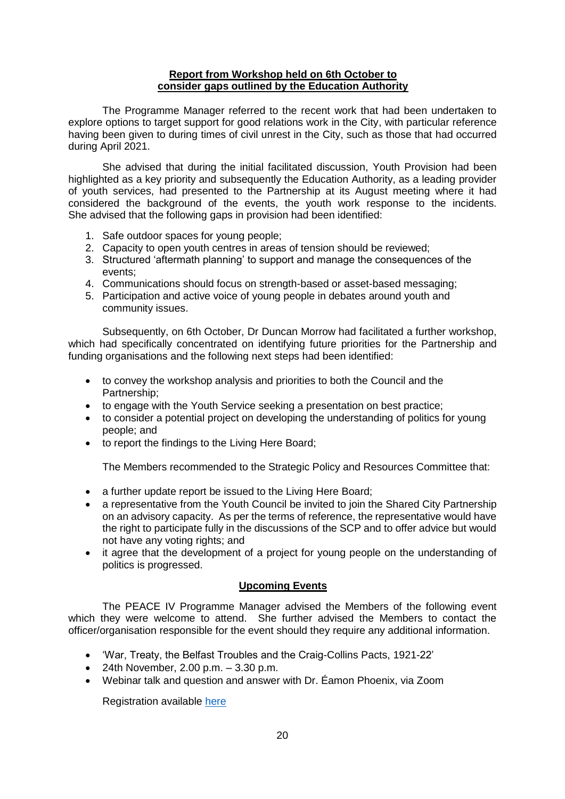### **Report from Workshop held on 6th October to consider gaps outlined by the Education Authority**

The Programme Manager referred to the recent work that had been undertaken to explore options to target support for good relations work in the City, with particular reference having been given to during times of civil unrest in the City, such as those that had occurred during April 2021.

She advised that during the initial facilitated discussion, Youth Provision had been highlighted as a key priority and subsequently the Education Authority, as a leading provider of youth services, had presented to the Partnership at its August meeting where it had considered the background of the events, the youth work response to the incidents. She advised that the following gaps in provision had been identified:

- 1. Safe outdoor spaces for young people;
- 2. Capacity to open youth centres in areas of tension should be reviewed;
- 3. Structured 'aftermath planning' to support and manage the consequences of the events;
- 4. Communications should focus on strength-based or asset-based messaging;
- 5. Participation and active voice of young people in debates around youth and community issues.

Subsequently, on 6th October, Dr Duncan Morrow had facilitated a further workshop, which had specifically concentrated on identifying future priorities for the Partnership and funding organisations and the following next steps had been identified:

- to convey the workshop analysis and priorities to both the Council and the Partnership;
- to engage with the Youth Service seeking a presentation on best practice;
- to consider a potential project on developing the understanding of politics for young people; and
- to report the findings to the Living Here Board;

The Members recommended to the Strategic Policy and Resources Committee that:

- a further update report be issued to the Living Here Board;
- a representative from the Youth Council be invited to join the Shared City Partnership on an advisory capacity. As per the terms of reference, the representative would have the right to participate fully in the discussions of the SCP and to offer advice but would not have any voting rights; and
- it agree that the development of a project for young people on the understanding of politics is progressed.

# **Upcoming Events**

The PEACE IV Programme Manager advised the Members of the following event which they were welcome to attend. She further advised the Members to contact the officer/organisation responsible for the event should they require any additional information.

- 'War, Treaty, the Belfast Troubles and the Craig-Collins Pacts, 1921-22'
- 24th November, 2.00 p.m.  $-3.30$  p.m.
- Webinar talk and question and answer with Dr. Éamon Phoenix, via Zoom

Registration available [here](https://www.belfastcity.gov.uk/Events/War-Treaty-the-Belfast-Troubles-and-the-Craig-Coll)